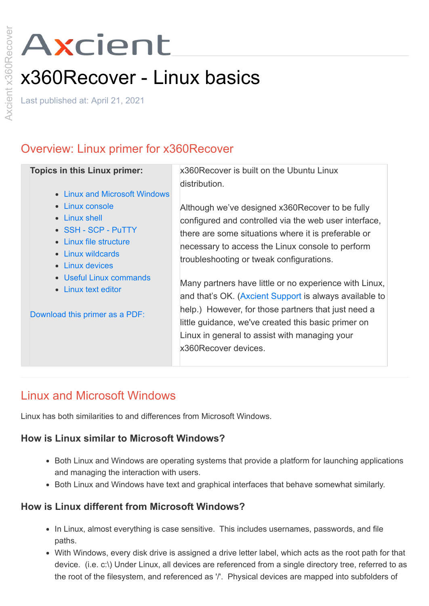# Axcient

# x360Recover - Linux basics

Last published at: April 21, 2021

# Overview: Linux primer for x360Recover

| <b>Topics in this Linux primer:</b><br>• Linux and Microsoft Windows                                                      | x360Recover is built on the Ubuntu Linux<br>distribution.                                                                                                                                                                                                                                               |
|---------------------------------------------------------------------------------------------------------------------------|---------------------------------------------------------------------------------------------------------------------------------------------------------------------------------------------------------------------------------------------------------------------------------------------------------|
| • Linux console<br>• Linux shell<br>• SSH - SCP - PuTTY<br>• Linux file structure<br>• Linux wildcards<br>• Linux devices | Although we've designed x360Recover to be fully<br>configured and controlled via the web user interface,<br>there are some situations where it is preferable or<br>necessary to access the Linux console to perform<br>troubleshooting or tweak configurations.                                         |
| • Useful Linux commands<br>Linux text editor<br>$\bullet$<br>Download this primer as a PDF:                               | Many partners have little or no experience with Linux,<br>and that's OK. (Axcient Support is always available to<br>help.) However, for those partners that just need a<br>little guidance, we've created this basic primer on<br>Linux in general to assist with managing your<br>x360Recover devices. |

# Linux and Microsoft Windows

Linux has both similarities to and differences from Microsoft Windows.

# **How is Linux similar to Microsoft Windows?**

- Both Linux and Windows are operating systems that provide a platform for launching applications and managing the interaction with users.
- Both Linux and Windows have text and graphical interfaces that behave somewhat similarly.

# **How is Linux different from Microsoft Windows?**

- In Linux, almost everything is case sensitive. This includes usernames, passwords, and file paths.
- With Windows, every disk drive is assigned a drive letter label, which acts as the root path for that device. (i.e. c:\) Under Linux, all devices are referenced from a single directory tree, referred to as the root of the filesystem, and referenced as '/'. Physical devices are mapped into subfolders of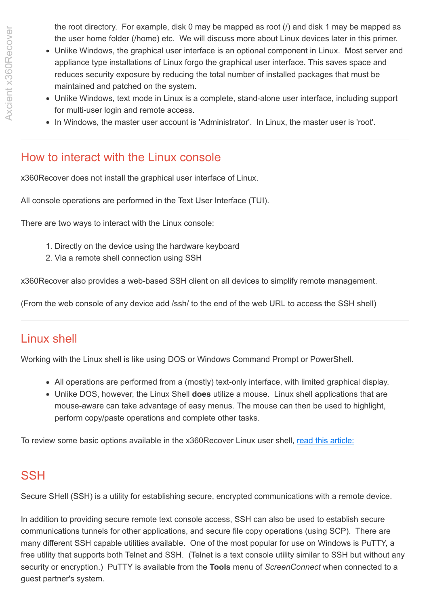- Unlike Windows, the graphical user interface is an optional component in Linux. Most server and appliance type installations of Linux forgo the graphical user interface. This saves space and reduces security exposure by reducing the total number of installed packages that must be maintained and patched on the system.
- Unlike Windows, text mode in Linux is a complete, stand-alone user interface, including support for multi-user login and remote access.
- In Windows, the master user account is 'Administrator'. In Linux, the master user is 'root'.

# How to interact with the Linux console

x360Recover does not install the graphical user interface of Linux.

All console operations are performed in the Text User Interface (TUI).

There are two ways to interact with the Linux console:

- 1. Directly on the device using the hardware keyboard
- 2. Via a remote shell connection using SSH

x360Recover also provides a web-based SSH client on all devices to simplify remote management.

(From the web console of any device add /ssh/ to the end of the web URL to access the SSH shell)

# Linux shell

Working with the Linux shell is like using DOS or Windows Command Prompt or PowerShell.

- All operations are performed from a (mostly) text-only interface, with limited graphical display.
- Unlike DOS, however, the Linux Shell **does** utilize a mouse. Linux shell applications that are mouse-aware can take advantage of easy menus. The mouse can then be used to highlight, perform copy/paste operations and complete other tasks.

To review some basic options available in the x360Recover Linux user shell, [read this article:](https://support.axcient.com/hc/en-us/articles/115006781568-x360Recover-How-to-use-the-Linux-shell)

# **SSH**

Secure SHell (SSH) is a utility for establishing secure, encrypted communications with a remote device.

In addition to providing secure remote text console access, SSH can also be used to establish secure communications tunnels for other applications, and secure file copy operations (using SCP). There are many different SSH capable utilities available. One of the most popular for use on Windows is PuTTY, a free utility that supports both Telnet and SSH. (Telnet is a text console utility similar to SSH but without any security or encryption.) PuTTY is available from the **Tools** menu of *ScreenConnect* when connected to a guest partner's system.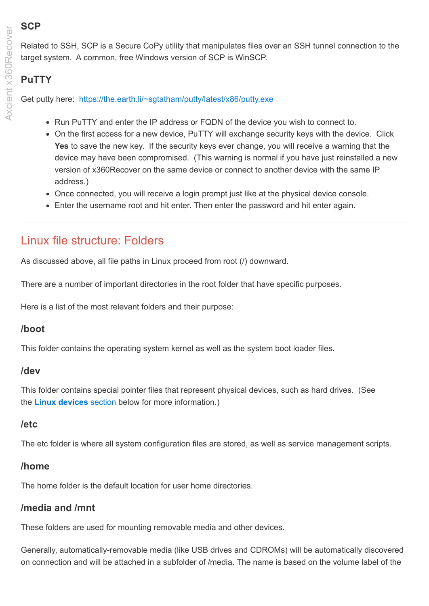# **SCP**

Related to SSH, SCP is a Secure CoPy utility that manipulates files over an SSH tunnel connection to the target system. A common, free Windows version of SCP is WinSCP.

# **PuTTY**

Get putty here: <https://the.earth.li/~sgtatham/putty/latest/x86/putty.exe>

- Run PuTTY and enter the IP address or FQDN of the device you wish to connect to.
- On the first access for a new device, PuTTY will exchange security keys with the device. Click **Yes** to save the new key. If the security keys ever change, you will receive a warning that the device may have been compromised. (This warning is normal if you have just reinstalled a new version of x360Recover on the same device or connect to another device with the same IP address.)
- Once connected, you will receive a login prompt just like at the physical device console.
- Enter the username root and hit enter. Then enter the password and hit enter again.

# Linux file structure: Folders

As discussed above, all file paths in Linux proceed from root (/) downward.

There are a number of important directories in the root folder that have specific purposes.

Here is a list of the most relevant folders and their purpose:

# **/boot**

This folder contains the operating system kernel as well as the system boot loader files.

# **/dev**

This folder contains special pointer files that represent physical devices, such as hard drives. (See the **[Linux devices](https://support.axcient.com/hc/en-us/articles/1500007366082#Item7)** section below for more information.)

# **/etc**

The etc folder is where all system configuration files are stored, as well as service management scripts.

# **/home**

The home folder is the default location for user home directories.

# **/media and /mnt**

These folders are used for mounting removable media and other devices.

Generally, automatically-removable media (like USB drives and CDROMs) will be automatically discovered on connection and will be attached in a subfolder of /media. The name is based on the volume label of the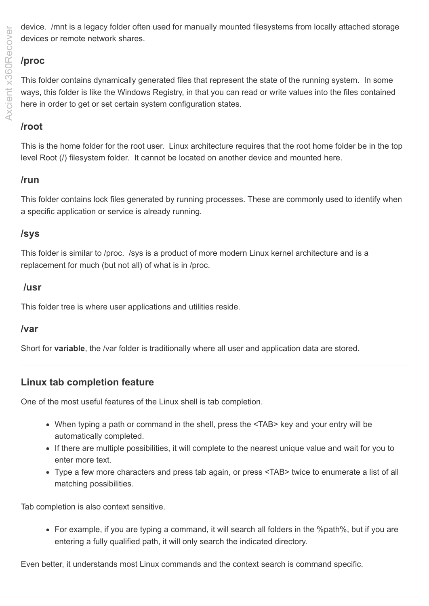device. /mnt is a legacy folder often used for manually mounted filesystems from locally attached storage devices or remote network shares.

# **/proc**

This folder contains dynamically generated files that represent the state of the running system. In some ways, this folder is like the Windows Registry, in that you can read or write values into the files contained here in order to get or set certain system configuration states.

# **/root**

This is the home folder for the root user. Linux architecture requires that the root home folder be in the top level Root (/) filesystem folder. It cannot be located on another device and mounted here.

# **/run**

This folder contains lock files generated by running processes. These are commonly used to identify when a specific application or service is already running.

# **/sys**

This folder is similar to /proc. /sys is a product of more modern Linux kernel architecture and is a replacement for much (but not all) of what is in /proc.

#### **/usr**

This folder tree is where user applications and utilities reside.

# **/var**

Short for **variable**, the /var folder is traditionally where all user and application data are stored.

# **Linux tab completion feature**

One of the most useful features of the Linux shell is tab completion.

- When typing a path or command in the shell, press the <TAB> key and your entry will be automatically completed.
- If there are multiple possibilities, it will complete to the nearest unique value and wait for you to enter more text.
- Type a few more characters and press tab again, or press <TAB> twice to enumerate a list of all matching possibilities.

Tab completion is also context sensitive.

For example, if you are typing a command, it will search all folders in the %path%, but if you are entering a fully qualified path, it will only search the indicated directory.

Even better, it understands most Linux commands and the context search is command specific.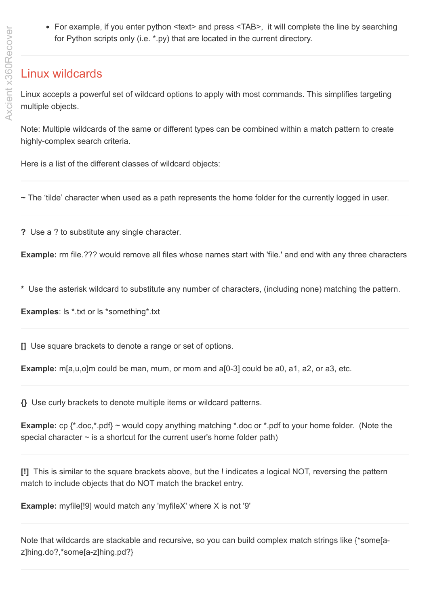• For example, if you enter python <text> and press <TAB>, it will complete the line by searching for Python scripts only (i.e. \*.py) that are located in the current directory.

# Linux wildcards

Linux accepts a powerful set of wildcard options to apply with most commands. This simplifies targeting multiple objects.

Note: Multiple wildcards of the same or different types can be combined within a match pattern to create highly-complex search criteria.

Here is a list of the different classes of wildcard objects:

**~** The 'tilde' character when used as a path represents the home folder for the currently logged in user.

**?** Use a ? to substitute any single character.

**Example:** rm file.??? would remove all files whose names start with 'file.' and end with any three characters

**\*** Use the asterisk wildcard to substitute any number of characters, (including none) matching the pattern.

**Examples**: ls \*.txt or ls \*something\*.txt

**[]** Use square brackets to denote a range or set of options.

**Example:** m[a,u,o]m could be man, mum, or mom and a[0-3] could be a0, a1, a2, or a3, etc.

**{}** Use curly brackets to denote multiple items or wildcard patterns.

**Example:** cp {\*.doc,\*.pdf} ~ would copy anything matching \*.doc or \*.pdf to your home folder. (Note the special character  $\sim$  is a shortcut for the current user's home folder path)

**[!]** This is similar to the square brackets above, but the ! indicates a logical NOT, reversing the pattern match to include objects that do NOT match the bracket entry.

**Example:** myfile<sup>[19]</sup> would match any 'myfileX' where X is not '9'

Note that wildcards are stackable and recursive, so you can build complex match strings like {\*some[az]hing.do?,\*some[a-z]hing.pd?}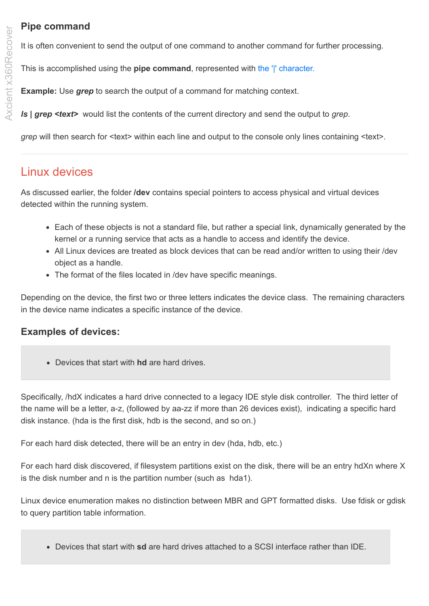# **Pipe command**

It is often convenient to send the output of one command to another command for further processing.

This is accomplished using the **pipe command**, represented with [the '|' character.](https://en.wikipedia.org/wiki/Vertical_bar) 

**Example:** Use *grep* to search the output of a command for matching context.

*ls* **|** *grep <text>* would list the contents of the current directory and send the output to *grep*.

*grep* will then search for <text> within each line and output to the console only lines containing <text>.

# Linux devices

As discussed earlier, the folder **/dev** contains special pointers to access physical and virtual devices detected within the running system.

- Each of these objects is not a standard file, but rather a special link, dynamically generated by the kernel or a running service that acts as a handle to access and identify the device.
- All Linux devices are treated as block devices that can be read and/or written to using their /dev object as a handle.
- The format of the files located in /dev have specific meanings.

Depending on the device, the first two or three letters indicates the device class. The remaining characters in the device name indicates a specific instance of the device.

# **Examples of devices:**

Devices that start with **hd** are hard drives.

Specifically, /hdX indicates a hard drive connected to a legacy IDE style disk controller. The third letter of the name will be a letter, a-z, (followed by aa-zz if more than 26 devices exist), indicating a specific hard disk instance. (hda is the first disk, hdb is the second, and so on.)

For each hard disk detected, there will be an entry in dev (hda, hdb, etc.)

For each hard disk discovered, if filesystem partitions exist on the disk, there will be an entry hdXn where X is the disk number and n is the partition number (such as hda1).

Linux device enumeration makes no distinction between MBR and GPT formatted disks. Use fdisk or gdisk to query partition table information.

Devices that start with **sd** are hard drives attached to a SCSI interface rather than IDE.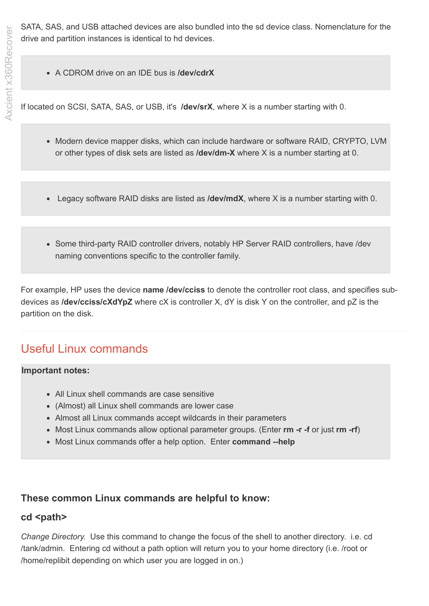SATA, SAS, and USB attached devices are also bundled into the sd device class. Nomenclature for the drive and partition instances is identical to hd devices.

A CDROM drive on an IDE bus is **/dev/cdrX**

If located on SCSI, SATA, SAS, or USB, it's **/dev/srX**, where X is a number starting with 0.

- Modern device mapper disks, which can include hardware or software RAID, CRYPTO, LVM or other types of disk sets are listed as **/dev/dm-X** where X is a number starting at 0.
- Legacy software RAID disks are listed as **/dev/mdX**, where X is a number starting with 0.
- Some third-party RAID controller drivers, notably HP Server RAID controllers, have /dev naming conventions specific to the controller family.

For example, HP uses the device **name /dev/cciss** to denote the controller root class, and specifies subdevices as **/dev/cciss/cXdYpZ** where cX is controller X, dY is disk Y on the controller, and pZ is the partition on the disk.

# Useful Linux commands

#### **Important notes:**

- All Linux shell commands are case sensitive
- (Almost) all Linux shell commands are lower case
- Almost all Linux commands accept wildcards in their parameters
- Most Linux commands allow optional parameter groups. (Enter **rm -r -f** or just **rm -rf**)
- Most Linux commands offer a help option. Enter **command --help**

#### **These common Linux commands are helpful to know:**

#### cd <path>

*Change Directory.* Use this command to change the focus of the shell to another directory. i.e. cd /tank/admin. Entering cd without a path option will return you to your home directory (i.e. /root or /home/replibit depending on which user you are logged in on.)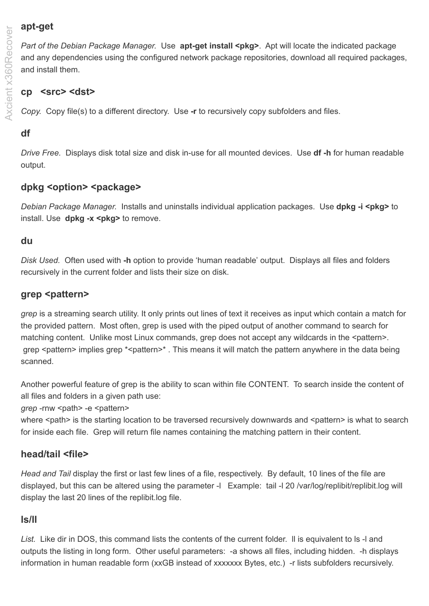# **apt-get**

*Part of the Debian Package Manager.* Use **apt-get install <pkg>**. Apt will locate the indicated package and any dependencies using the configured network package repositories, download all required packages, and install them.

# **cp <src> <dst>**

*Copy.* Copy file(s) to a different directory. Use **-r** to recursively copy subfolders and files.

# **df**

*Drive Free.* Displays disk total size and disk in-use for all mounted devices. Use **df -h** for human readable output.

# **dpkg <option> <package>**

*Debian Package Manager.* Installs and uninstalls individual application packages. Use **dpkg -i <pkg>** to install. Use **dpkg -x <pkg>** to remove.

# **du**

*Disk Used.* Often used with **-h** option to provide 'human readable' output. Displays all files and folders recursively in the current folder and lists their size on disk.

#### **grep <pattern>**

*grep* is a streaming search utility. It only prints out lines of text it receives as input which contain a match for the provided pattern. Most often, grep is used with the piped output of another command to search for matching content. Unlike most Linux commands, grep does not accept any wildcards in the <pattern>. grep <pattern> implies grep \*<pattern>\*. This means it will match the pattern anywhere in the data being scanned.

Another powerful feature of grep is the ability to scan within file CONTENT. To search inside the content of all files and folders in a given path use:

*grep* -rnw <path> -e <pattern>

where <path> is the starting location to be traversed recursively downwards and <pattern> is what to search for inside each file. Grep will return file names containing the matching pattern in their content.

# **head/tail <file>**

*Head and Tail* display the first or last few lines of a file, respectively. By default, 10 lines of the file are displayed, but this can be altered using the parameter -l Example: tail -l 20 /var/log/replibit/replibit.log will display the last 20 lines of the replibit.log file.

# **ls/ll**

*List.* Like dir in DOS, this command lists the contents of the current folder. ll is equivalent to ls -l and outputs the listing in long form. Other useful parameters: -a shows all files, including hidden. -h displays information in human readable form (xxGB instead of xxxxxxx Bytes, etc.) -r lists subfolders recursively.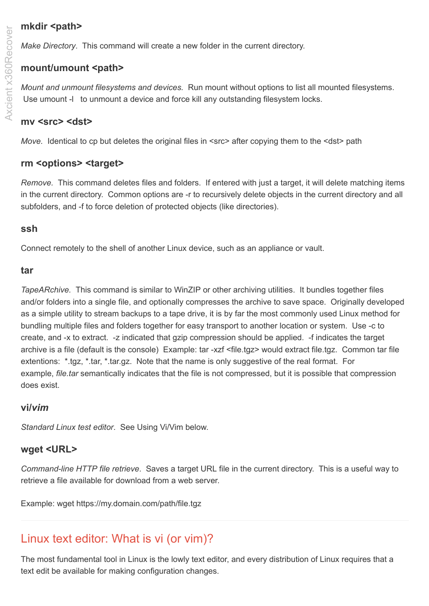# mkdir <path>

*Make Directory*. This command will create a new folder in the current directory.

# **mount/umount <path>**

*Mount and unmount filesystems and devices.* Run mount without options to list all mounted filesystems. Use umount -l to unmount a device and force kill any outstanding filesystem locks.

# **mv <src> <dst>**

*Move.* Identical to cp but deletes the original files in <src> after copying them to the <dst> path

#### **rm <options> <target>**

*Remove.* This command deletes files and folders. If entered with just a target, it will delete matching items in the current directory. Common options are -r to recursively delete objects in the current directory and all subfolders, and -f to force deletion of protected objects (like directories).

#### **ssh**

Connect remotely to the shell of another Linux device, such as an appliance or vault.

#### **tar**

*TapeARchive.* This command is similar to WinZIP or other archiving utilities. It bundles together files and/or folders into a single file, and optionally compresses the archive to save space. Originally developed as a simple utility to stream backups to a tape drive, it is by far the most commonly used Linux method for bundling multiple files and folders together for easy transport to another location or system. Use -c to create, and -x to extract. -z indicated that gzip compression should be applied. -f indicates the target archive is a file (default is the console) Example: tar -xzf <file.tgz> would extract file.tgz. Common tar file extentions: \*.tgz, \*.tar, \*.tar.gz. Note that the name is only suggestive of the real format. For example, *file.tar* semantically indicates that the file is not compressed, but it is possible that compression does exist.

#### **vi/***vim*

*Standard Linux test editor*. See Using Vi/Vim below.

# **wget <URL>**

*Command-line HTTP file retrieve*. Saves a target URL file in the current directory. This is a useful way to retrieve a file available for download from a web server.

Example: wget https://my.domain.com/path/file.tgz

# Linux text editor: What is vi (or vim)?

The most fundamental tool in Linux is the lowly text editor, and every distribution of Linux requires that a text edit be available for making configuration changes.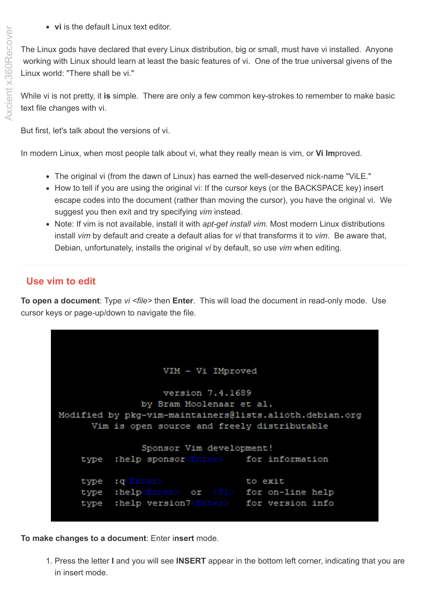**vi** is the default Linux text editor.

The Linux gods have declared that every Linux distribution, big or small, must have vi installed. Anyone working with Linux should learn at least the basic features of vi. One of the true universal givens of the Linux world: "There shall be vi."

While vi is not pretty, it **is** simple. There are only a few common key-strokes to remember to make basic text file changes with vi.

But first, let's talk about the versions of vi.

In modern Linux, when most people talk about vi, what they really mean is vim, or **Vi Im**proved.

- The original vi (from the dawn of Linux) has earned the well-deserved nick-name "ViLE."
- How to tell if you are using the original vi: If the cursor keys (or the BACKSPACE key) insert escape codes into the document (rather than moving the cursor), you have the original vi. We suggest you then exit and try specifying *vim* instead.
- Note: If vim is not available, install it with *apt-get install vim.* Most modern Linux distributions install *vim* by default and create a default alias for *vi* that transforms it to *vim*. Be aware that, Debian, unfortunately, installs the original *vi* by default, so use *vim* when editing.

# **Use vim to edit**

**To open a document**: Type *vi <file>* then **Enter**. This will load the document in read-only mode. Use cursor keys or page-up/down to navigate the file.

```
VIM - Vi IMproved
                  version 7.4.1689
              by Bram Moolenaar et al.
Modified by pkg-vim-maintainers@lists.alioth.debian.org
     Vim is open source and freely distributable
              Sponsor Vim development!
   type
         :help sponsor<Enter> for information
         :q<Enter>
                                 to exit
    type
         :help<Enter> or <Fl> for on-line help
    type
         :help version7<Enter> for version info
    type
```
**To make changes to a document**: Enter i**nsert** mode.

1. Press the letter **I** and you will see **INSERT** appear in the bottom left corner, indicating that you are in insert mode.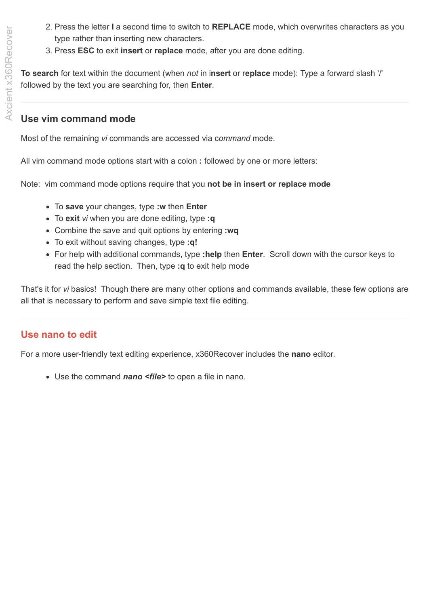- 2. Press the letter **I** a second time to switch to **REPLACE** mode, which overwrites characters as you type rather than inserting new characters.
- 3. Press **ESC** to exit **insert** or **replace** mode, after you are done editing.

**To search** for text within the document (when *not* in i**nsert** or r**eplace** mode): Type a forward slash '/' followed by the text you are searching for, then **Enter**.

# **Use vim command mode**

Most of the remaining *vi* commands are accessed via c*ommand* mode.

All vim command mode options start with a colon **:** followed by one or more letters:

Note: vim command mode options require that you **not be in insert or replace mode**

- To **save** your changes, type **:w** then **Enter**
- To **exit** *vi* when you are done editing, type **:q**
- Combine the save and quit options by entering **:wq**
- To exit without saving changes, type **:q!**
- For help with additional commands, type **:help** then **Enter**. Scroll down with the cursor keys to read the help section. Then, type **:q** to exit help mode

That's it for *vi* basics! Though there are many other options and commands available, these few options are all that is necessary to perform and save simple text file editing.

# **Use nano to edit**

For a more user-friendly text editing experience, x360Recover includes the **nano** editor.

Use the command *nano <file>* to open a file in nano.